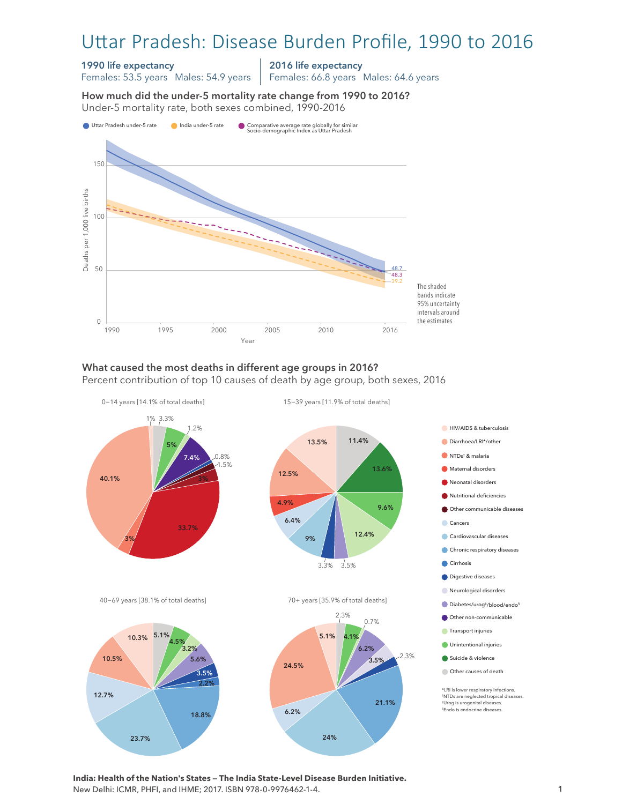# Uttar Pradesh: Disease Burden Profile, 1990 to 2016

#### 1990 life expectancy

Females: 53.5 years Males: 54.9 years

2016 life expectancy

Females: 66.8 years Males: 64.6 years

How much did the under-5 mortality rate change from 1990 to 2016? Under-5 mortality rate, both sexes combined, 1990-2016 Under-5 mortality rate, both sexes combined, 1990-2016 How much did the under-5 mortality rate change from 1990 to 2016?



#### What caused the most deaths in different age groups in 2016? Percent contribution of top 10 causes of death by age group, both sexes, 2016



**India: Health of the Nation's States — The India State-Level Disease Burden Initiative.**  New Delhi: ICMR, PHFI, and IHME; 2017. ISBN 978-0-9976462-1-4.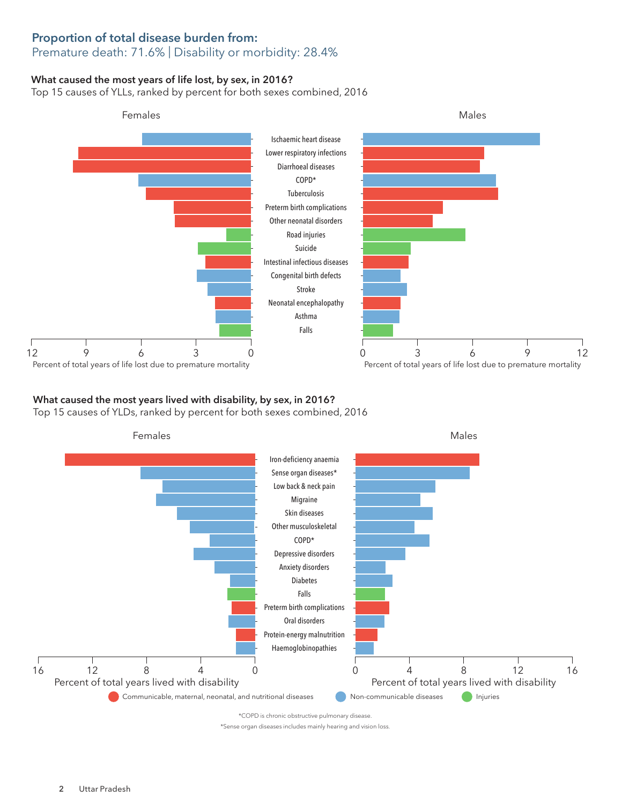### Proportion of total disease burden from: Premature death: 71.6% | Disability or morbidity: 28.4%

### What caused the most years of life lost, by sex, in 2016?

Top 15 causes of YLLs, ranked by percent for both sexes combined, 2016



#### What caused the most years lived with disability, by sex, in 2016? Top 15 causes of YLDs, ranked by percent for both sexes combined, 2016



\*COPD is chronic obstructive pulmonary disease.

\*Sense organ diseases includes mainly hearing and vision loss.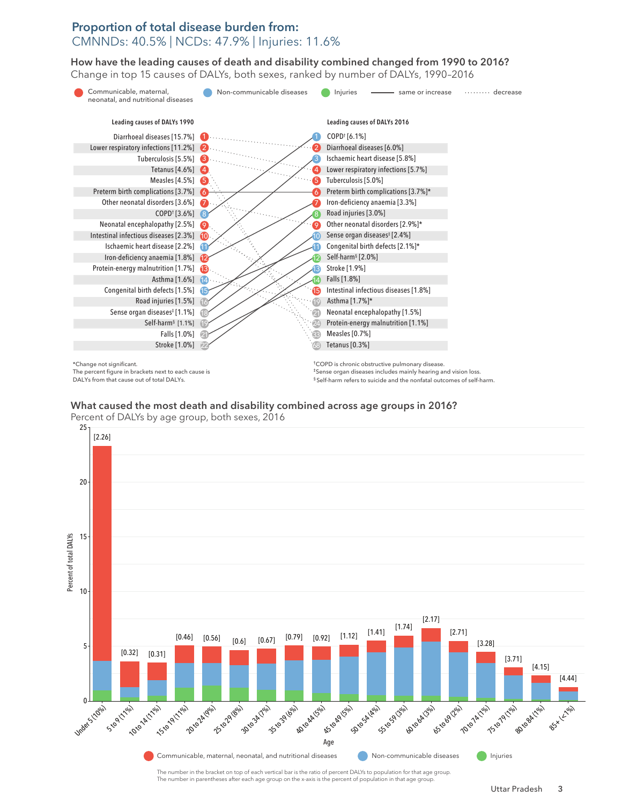## Proportion of total disease burden from: CMNNDs: 40.5% | NCDs: 47.9% | Injuries: 11.6%

How have the leading causes of death and disability combined changed from 1990 to 2016? How have the leading causes of death and disability combined changed from 1990 to 2016? Change in top 15 causes of DALYs, both sexes, ranked by number of DALYs, 1990–2016 Change in top 15 causes of DALYs, both sexes, ranked by number of DALYs, 1990–2016



The percent figure in brackets next to each cause is DALYs from that cause out of total DALYs.

‡Sense organ diseases includes mainly hearing and vision loss. § Self-harm refers to suicide and the nonfatal outcomes of self-harm.

# What caused the most death and disability combined across age groups in 2016? What caused the most death and disability combined across age groups in 2016?



Percent of DALYs by age group, both sexes, 2016 Percent of DALYs by age group, both sexes, 2016 25

> The number in the bracket on top of each vertical bar is the ratio of percent DALYs to population for that age group. The number in parentheses after each age group on the x-axis is the percent of population in that age group.